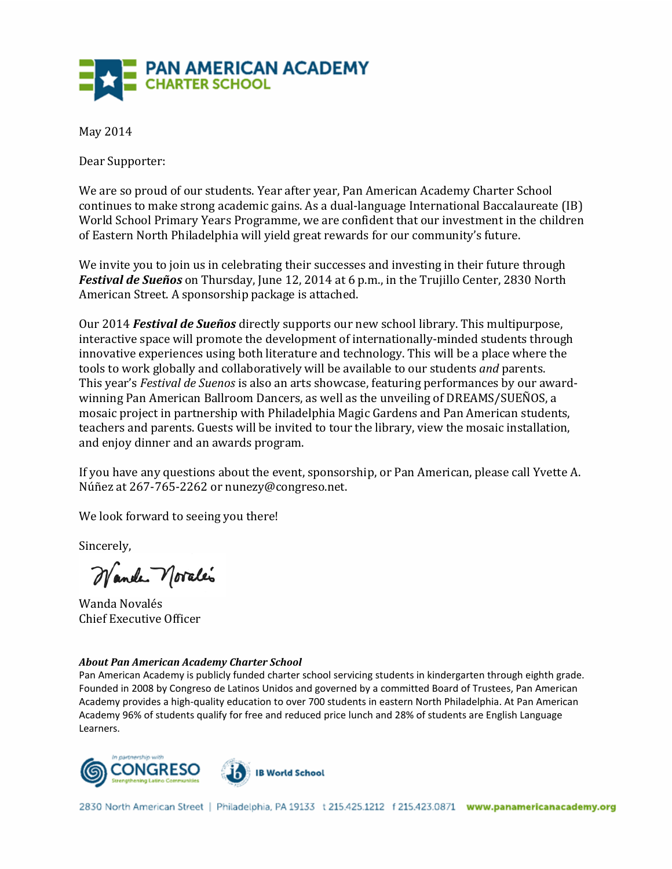

May 2014

Dear Supporter:

We are so proud of our students. Year after year, Pan American Academy Charter School continues to make strong academic gains. As a dual-language International Baccalaureate (IB) World School Primary Years Programme, we are confident that our investment in the children of Eastern North Philadelphia will yield great rewards for our community's future.

We invite you to join us in celebrating their successes and investing in their future through *Festival de Sueños* on Thursday, June 12, 2014 at 6 p.m., in the Trujillo Center, 2830 North American Street. A sponsorship package is attached.

Our 2014 *Festival de Sueños* directly supports our new school library. This multipurpose, interactive space will promote the development of internationally-minded students through innovative experiences using both literature and technology. This will be a place where the tools to work globally and collaboratively will be available to our students *and* parents. This year's *Festival de Suenos* is also an arts showcase, featuring performances by our awardwinning Pan American Ballroom Dancers, as well as the unveiling of DREAMS/SUEÑOS, a mosaic project in partnership with Philadelphia Magic Gardens and Pan American students, teachers and parents. Guests will be invited to tour the library, view the mosaic installation, and enjoy dinner and an awards program.

If you have any questions about the event, sponsorship, or Pan American, please call Yvette A. Núñez at 267-765-2262 or nunezy@congreso.net.

We look forward to seeing you there!

Sincerely,

Wander Novales

Wanda Novalés **Chief Executive Officer** 

#### **About Pan American Academy Charter School**

Pan American Academy is publicly funded charter school servicing students in kindergarten through eighth grade. Founded in 2008 by Congreso de Latinos Unidos and governed by a committed Board of Trustees, Pan American Academy provides a high-quality education to over 700 students in eastern North Philadelphia. At Pan American Academy 96% of students qualify for free and reduced price lunch and 28% of students are English Language Learners.

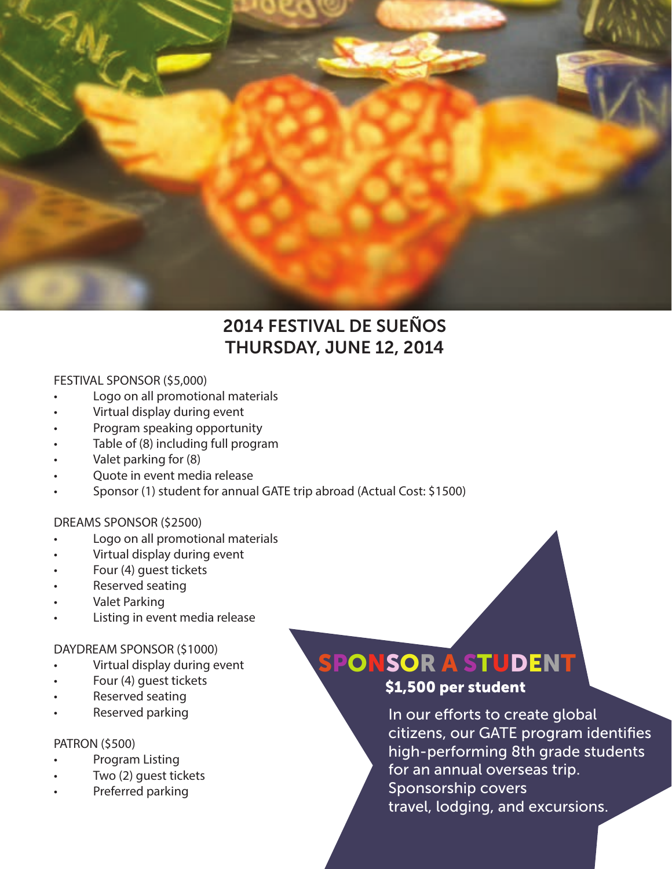

### 2014 FESTIVAL DE SUEÑOS THURSDAY, JUNE 12, 2014

#### FESTIVAL SPONSOR (\$5,000)

- Logo on all promotional materials
- Virtual display during event
- Program speaking opportunity
- Table of (8) including full program
- Valet parking for (8)
- Quote in event media release
- Sponsor (1) student for annual GATE trip abroad (Actual Cost: \$1500)

#### DREAMS SPONSOR (\$2500)

- Logo on all promotional materials
- Virtual display during event
- Four (4) guest tickets
- Reserved seating
- Valet Parking
- Listing in event media release

#### DAYDREAM SPONSOR (\$1000)

- Virtual display during event
- Four (4) guest tickets
- Reserved seating
- Reserved parking

#### PATRON (\$500)

- Program Listing
- Two (2) guest tickets
- Preferred parking

## SPONSOR A STUDENT

\$1,500 per student

In our efforts to create global citizens, our GATE program identifies high-performing 8th grade students for an annual overseas trip. Sponsorship covers travel, lodging, and excursions.